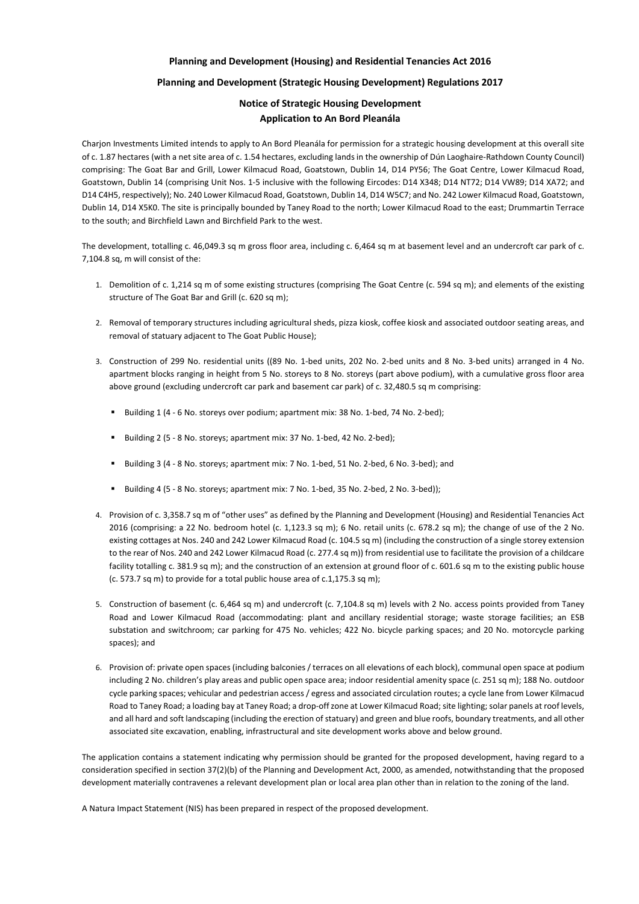## **Planning and Development (Housing) and Residential Tenancies Act 2016**

## **Planning and Development (Strategic Housing Development) Regulations 2017**

## **Notice of Strategic Housing Development Application to An Bord Pleanála**

Charjon Investments Limited intends to apply to An Bord Pleanála for permission for a strategic housing development at this overall site of c. 1.87 hectares (with a net site area of c. 1.54 hectares, excluding lands in the ownership of Dún Laoghaire-Rathdown County Council) comprising: The Goat Bar and Grill, Lower Kilmacud Road, Goatstown, Dublin 14, D14 PY56; The Goat Centre, Lower Kilmacud Road, Goatstown, Dublin 14 (comprising Unit Nos. 1-5 inclusive with the following Eircodes: D14 X348; D14 NT72; D14 VW89; D14 XA72; and D14 C4H5, respectively); No. 240 Lower Kilmacud Road, Goatstown, Dublin 14, D14 W5C7; and No. 242 Lower Kilmacud Road, Goatstown, Dublin 14, D14 X5K0. The site is principally bounded by Taney Road to the north; Lower Kilmacud Road to the east; Drummartin Terrace to the south; and Birchfield Lawn and Birchfield Park to the west.

The development, totalling c. 46,049.3 sq m gross floor area, including c. 6,464 sq m at basement level and an undercroft car park of c. 7,104.8 sq, m will consist of the:

- 1. Demolition of c. 1,214 sq m of some existing structures (comprising The Goat Centre (c. 594 sq m); and elements of the existing structure of The Goat Bar and Grill (c. 620 sq m);
- 2. Removal of temporary structures including agricultural sheds, pizza kiosk, coffee kiosk and associated outdoor seating areas, and removal of statuary adjacent to The Goat Public House);
- 3. Construction of 299 No. residential units ((89 No. 1-bed units, 202 No. 2-bed units and 8 No. 3-bed units) arranged in 4 No. apartment blocks ranging in height from 5 No. storeys to 8 No. storeys (part above podium), with a cumulative gross floor area above ground (excluding undercroft car park and basement car park) of c. 32,480.5 sq m comprising:
	- Building 1 (4 6 No. storeys over podium; apartment mix: 38 No. 1-bed, 74 No. 2-bed);
	- Building 2 (5 8 No. storeys; apartment mix: 37 No. 1-bed, 42 No. 2-bed);
	- Building 3 (4 8 No. storeys; apartment mix: 7 No. 1-bed, 51 No. 2-bed, 6 No. 3-bed); and
	- Building 4 (5 8 No. storeys; apartment mix: 7 No. 1-bed, 35 No. 2-bed, 2 No. 3-bed));
- 4. Provision of c. 3,358.7 sq m of "other uses" as defined by the Planning and Development (Housing) and Residential Tenancies Act 2016 (comprising: a 22 No. bedroom hotel (c. 1,123.3 sq m); 6 No. retail units (c. 678.2 sq m); the change of use of the 2 No. existing cottages at Nos. 240 and 242 Lower Kilmacud Road (c. 104.5 sq m) (including the construction of a single storey extension to the rear of Nos. 240 and 242 Lower Kilmacud Road (c. 277.4 sq m)) from residential use to facilitate the provision of a childcare facility totalling c. 381.9 sq m); and the construction of an extension at ground floor of c. 601.6 sq m to the existing public house (c. 573.7 sq m) to provide for a total public house area of c.1,175.3 sq m);
- 5. Construction of basement (c. 6,464 sq m) and undercroft (c. 7,104.8 sq m) levels with 2 No. access points provided from Taney Road and Lower Kilmacud Road (accommodating: plant and ancillary residential storage; waste storage facilities; an ESB substation and switchroom; car parking for 475 No. vehicles; 422 No. bicycle parking spaces; and 20 No. motorcycle parking spaces); and
- 6. Provision of: private open spaces (including balconies / terraces on all elevations of each block), communal open space at podium including 2 No. children's play areas and public open space area; indoor residential amenity space (c. 251 sq m); 188 No. outdoor

cycle parking spaces; vehicular and pedestrian access / egress and associated circulation routes; a cycle lane from Lower Kilmacud Road to Taney Road; a loading bay at Taney Road; a drop-off zone at Lower Kilmacud Road; site lighting; solar panels at roof levels, and all hard and soft landscaping (including the erection of statuary) and green and blue roofs, boundary treatments, and all other associated site excavation, enabling, infrastructural and site development works above and below ground.

The application contains a statement indicating why permission should be granted for the proposed development, having regard to a consideration specified in section 37(2)(b) of the Planning and Development Act, 2000, as amended, notwithstanding that the proposed development materially contravenes a relevant development plan or local area plan other than in relation to the zoning of the land.

A Natura Impact Statement (NIS) has been prepared in respect of the proposed development.